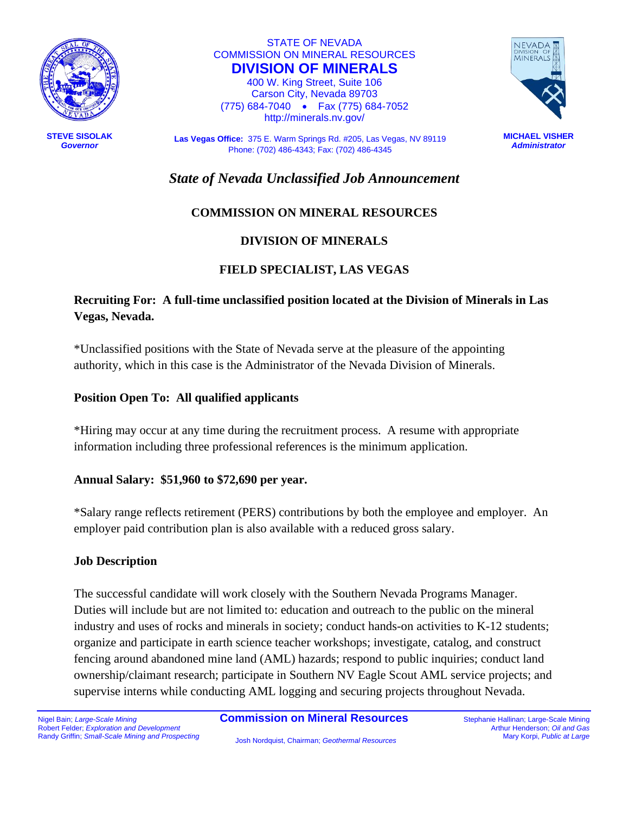

**STEVE SISOLAK** *Governor*

STATE OF NEVADA COMMISSION ON MINERAL RESOURCES **DIVISION OF MINERALS**

400 W. King Street, Suite 106 Carson City, Nevada 89703 (775) 684-7040 • Fax (775) 684-7052 http://minerals.nv.gov/

**Las Vegas Office:** 375 E. Warm Springs Rd. #205, Las Vegas, NV 89119 Phone: (702) 486-4343; Fax: (702) 486-4345



**MICHAEL VISHER** *Administrator*

*State of Nevada Unclassified Job Announcement*

# **COMMISSION ON MINERAL RESOURCES**

## **DIVISION OF MINERALS**

## **FIELD SPECIALIST, LAS VEGAS**

# **Recruiting For: A full-time unclassified position located at the Division of Minerals in Las Vegas, Nevada.**

\*Unclassified positions with the State of Nevada serve at the pleasure of the appointing authority, which in this case is the Administrator of the Nevada Division of Minerals.

### **Position Open To: All qualified applicants**

\*Hiring may occur at any time during the recruitment process. A resume with appropriate information including three professional references is the minimum application.

### **Annual Salary: \$51,960 to \$72,690 per year.**

\*Salary range reflects retirement (PERS) contributions by both the employee and employer. An employer paid contribution plan is also available with a reduced gross salary.

### **Job Description**

The successful candidate will work closely with the Southern Nevada Programs Manager. Duties will include but are not limited to: education and outreach to the public on the mineral industry and uses of rocks and minerals in society; conduct hands-on activities to K-12 students; organize and participate in earth science teacher workshops; investigate, catalog, and construct fencing around abandoned mine land (AML) hazards; respond to public inquiries; conduct land ownership/claimant research; participate in Southern NV Eagle Scout AML service projects; and supervise interns while conducting AML logging and securing projects throughout Nevada.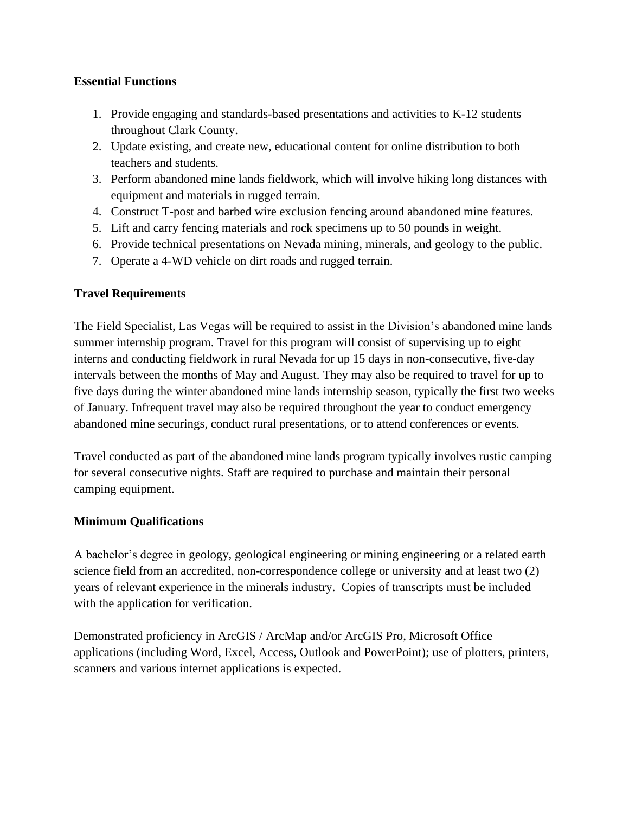### **Essential Functions**

- 1. Provide engaging and standards-based presentations and activities to K-12 students throughout Clark County.
- 2. Update existing, and create new, educational content for online distribution to both teachers and students.
- 3. Perform abandoned mine lands fieldwork, which will involve hiking long distances with equipment and materials in rugged terrain.
- 4. Construct T-post and barbed wire exclusion fencing around abandoned mine features.
- 5. Lift and carry fencing materials and rock specimens up to 50 pounds in weight.
- 6. Provide technical presentations on Nevada mining, minerals, and geology to the public.
- 7. Operate a 4-WD vehicle on dirt roads and rugged terrain.

### **Travel Requirements**

The Field Specialist, Las Vegas will be required to assist in the Division's abandoned mine lands summer internship program. Travel for this program will consist of supervising up to eight interns and conducting fieldwork in rural Nevada for up 15 days in non-consecutive, five-day intervals between the months of May and August. They may also be required to travel for up to five days during the winter abandoned mine lands internship season, typically the first two weeks of January. Infrequent travel may also be required throughout the year to conduct emergency abandoned mine securings, conduct rural presentations, or to attend conferences or events.

Travel conducted as part of the abandoned mine lands program typically involves rustic camping for several consecutive nights. Staff are required to purchase and maintain their personal camping equipment.

### **Minimum Qualifications**

A bachelor's degree in geology, geological engineering or mining engineering or a related earth science field from an accredited, non-correspondence college or university and at least two (2) years of relevant experience in the minerals industry. Copies of transcripts must be included with the application for verification.

Demonstrated proficiency in ArcGIS / ArcMap and/or ArcGIS Pro, Microsoft Office applications (including Word, Excel, Access, Outlook and PowerPoint); use of plotters, printers, scanners and various internet applications is expected.